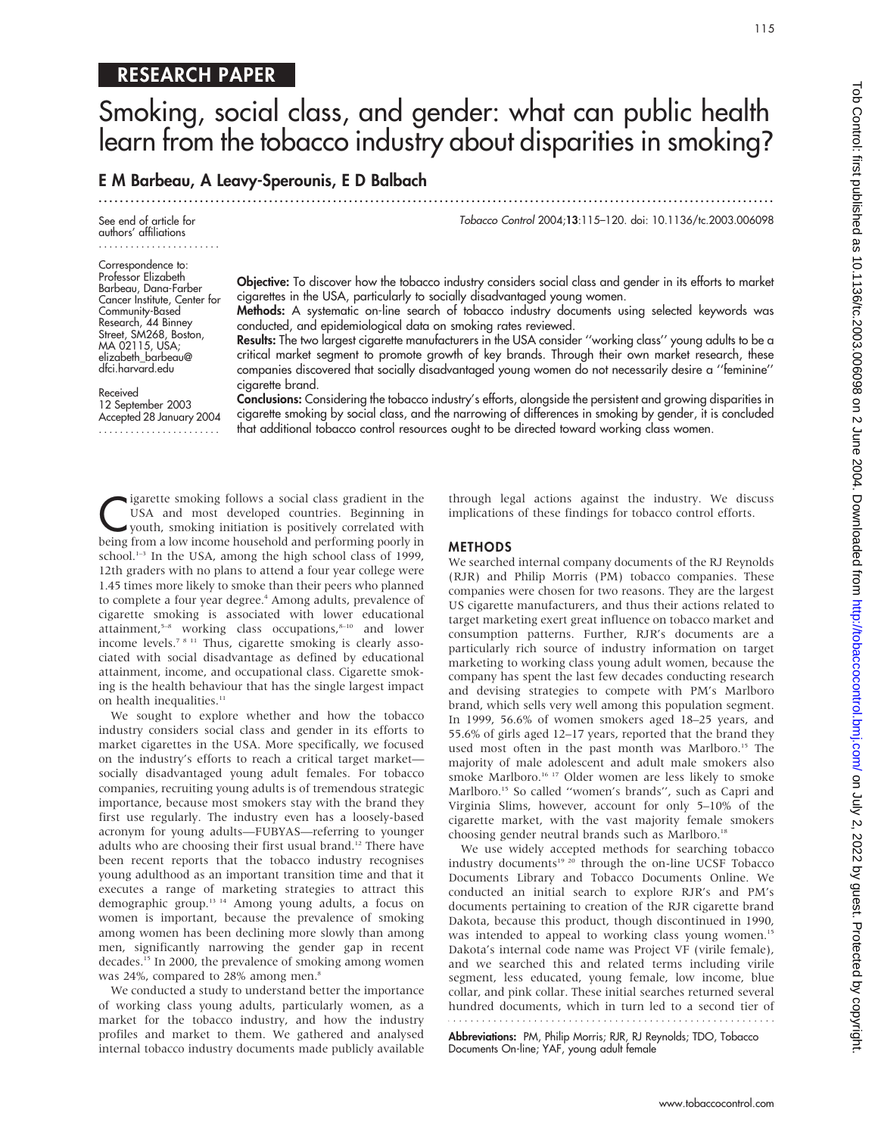## RESEARCH PAPER

# Smoking, social class, and gender: what can public health learn from the tobacco industry about disparities in smoking?

...............................................................................................................................

### E M Barbeau, A Leavy-Sperounis, E D Balbach

See end of article for authors' affiliations

Correspondence to: Professor Elizabeth Barbeau, Dana-Farber Cancer Institute, Center for Community-Based Research, 44 Binney Street, SM268, Boston, MA 02115, USA; elizabeth\_barbeau@ dfci.harvard.edu

Received 12 September 2003 Accepted 28 January 2004 .......................

Tobacco Control 2004;13:115–120. doi: 10.1136/tc.2003.006098

Objective: To discover how the tobacco industry considers social class and gender in its efforts to market cigarettes in the USA, particularly to socially disadvantaged young women.

Methods: A systematic on-line search of tobacco industry documents using selected keywords was conducted, and epidemiological data on smoking rates reviewed.

Results: The two largest cigarette manufacturers in the USA consider "working class" young adults to be a critical market segment to promote growth of key brands. Through their own market research, these companies discovered that socially disadvantaged young women do not necessarily desire a ''feminine'' cigarette brand.

Conclusions: Considering the tobacco industry's efforts, alongside the persistent and growing disparities in cigarette smoking by social class, and the narrowing of differences in smoking by gender, it is concluded that additional tobacco control resources ought to be directed toward working class women.

Gigarette smoking follows a social class gradient in the USA and most developed countries. Beginning in youth, smoking initiation is positively correlated with heing from a low income bousehold and performing posely in USA and most developed countries. Beginning in being from a low income household and performing poorly in school.<sup>1-3</sup> In the USA, among the high school class of 1999, 12th graders with no plans to attend a four year college were 1.45 times more likely to smoke than their peers who planned to complete a four year degree.<sup>4</sup> Among adults, prevalence of cigarette smoking is associated with lower educational attainment,<sup>5-8</sup> working class occupations,<sup>8-10</sup> and lower income levels.<sup>7 8 11</sup> Thus, cigarette smoking is clearly associated with social disadvantage as defined by educational attainment, income, and occupational class. Cigarette smoking is the health behaviour that has the single largest impact on health inequalities. $^{\rm 11}$ 

We sought to explore whether and how the tobacco industry considers social class and gender in its efforts to market cigarettes in the USA. More specifically, we focused on the industry's efforts to reach a critical target market socially disadvantaged young adult females. For tobacco companies, recruiting young adults is of tremendous strategic importance, because most smokers stay with the brand they first use regularly. The industry even has a loosely-based acronym for young adults—FUBYAS—referring to younger adults who are choosing their first usual brand.<sup>12</sup> There have been recent reports that the tobacco industry recognises young adulthood as an important transition time and that it executes a range of marketing strategies to attract this demographic group.13 14 Among young adults, a focus on women is important, because the prevalence of smoking among women has been declining more slowly than among men, significantly narrowing the gender gap in recent decades.<sup>15</sup> In 2000, the prevalence of smoking among women was 24%, compared to 28% among men.<sup>8</sup>

We conducted a study to understand better the importance of working class young adults, particularly women, as a market for the tobacco industry, and how the industry profiles and market to them. We gathered and analysed internal tobacco industry documents made publicly available

through legal actions against the industry. We discuss implications of these findings for tobacco control efforts.

#### METHODS

We searched internal company documents of the RJ Reynolds (RJR) and Philip Morris (PM) tobacco companies. These companies were chosen for two reasons. They are the largest US cigarette manufacturers, and thus their actions related to target marketing exert great influence on tobacco market and consumption patterns. Further, RJR's documents are a particularly rich source of industry information on target marketing to working class young adult women, because the company has spent the last few decades conducting research and devising strategies to compete with PM's Marlboro brand, which sells very well among this population segment. In 1999, 56.6% of women smokers aged 18–25 years, and 55.6% of girls aged 12–17 years, reported that the brand they used most often in the past month was Marlboro.<sup>15</sup> The majority of male adolescent and adult male smokers also smoke Marlboro.<sup>16 17</sup> Older women are less likely to smoke Marlboro.<sup>15</sup> So called "women's brands", such as Capri and Virginia Slims, however, account for only 5–10% of the cigarette market, with the vast majority female smokers choosing gender neutral brands such as Marlboro.<sup>18</sup>

We use widely accepted methods for searching tobacco industry documents<sup>19 20</sup> through the on-line UCSF Tobacco Documents Library and Tobacco Documents Online. We conducted an initial search to explore RJR's and PM's documents pertaining to creation of the RJR cigarette brand Dakota, because this product, though discontinued in 1990, was intended to appeal to working class young women.<sup>15</sup> Dakota's internal code name was Project VF (virile female), and we searched this and related terms including virile segment, less educated, young female, low income, blue collar, and pink collar. These initial searches returned several hundred documents, which in turn led to a second tier of 

Abbreviations: PM, Philip Morris; RJR, RJ Reynolds; TDO, Tobacco Documents On-line; YAF, young adult female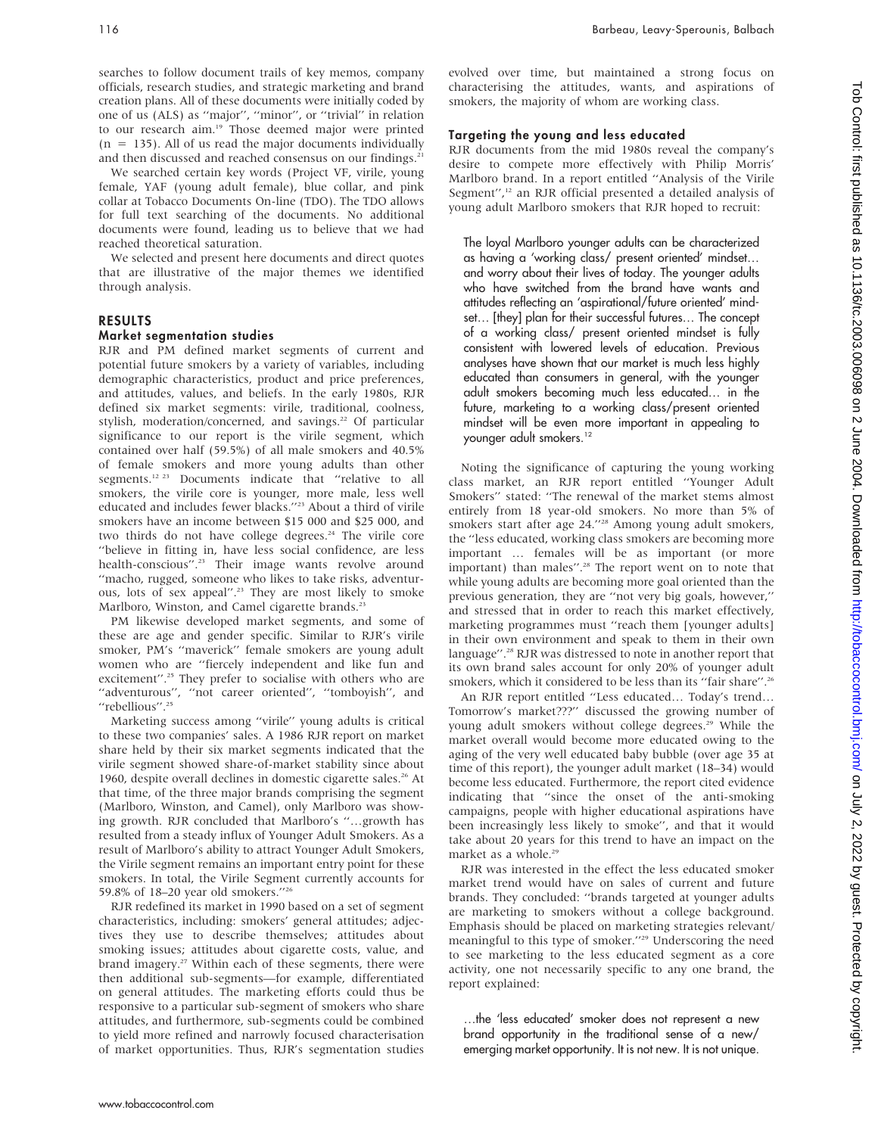116 Barbeau, Leavy-Sperounis, Balbach

searches to follow document trails of key memos, company officials, research studies, and strategic marketing and brand creation plans. All of these documents were initially coded by one of us (ALS) as ''major'', ''minor'', or ''trivial'' in relation to our research aim.19 Those deemed major were printed  $(n = 135)$ . All of us read the major documents individually and then discussed and reached consensus on our findings.<sup>2</sup>

We searched certain key words (Project VF, virile, young female, YAF (young adult female), blue collar, and pink collar at Tobacco Documents On-line (TDO). The TDO allows for full text searching of the documents. No additional documents were found, leading us to believe that we had reached theoretical saturation.

We selected and present here documents and direct quotes that are illustrative of the major themes we identified through analysis.

#### RESULTS

#### Market segmentation studies

RJR and PM defined market segments of current and potential future smokers by a variety of variables, including demographic characteristics, product and price preferences, and attitudes, values, and beliefs. In the early 1980s, RJR defined six market segments: virile, traditional, coolness, stylish, moderation/concerned, and savings.<sup>22</sup> Of particular significance to our report is the virile segment, which contained over half (59.5%) of all male smokers and 40.5% of female smokers and more young adults than other segments.<sup>12 23</sup> Documents indicate that "relative to all smokers, the virile core is younger, more male, less well educated and includes fewer blacks."<sup>23</sup> About a third of virile smokers have an income between \$15 000 and \$25 000, and two thirds do not have college degrees.<sup>24</sup> The virile core ''believe in fitting in, have less social confidence, are less health-conscious".<sup>23</sup> Their image wants revolve around ''macho, rugged, someone who likes to take risks, adventurous, lots of sex appeal".<sup>23</sup> They are most likely to smoke Marlboro, Winston, and Camel cigarette brands.<sup>23</sup>

PM likewise developed market segments, and some of these are age and gender specific. Similar to RJR's virile smoker, PM's ''maverick'' female smokers are young adult women who are ''fiercely independent and like fun and excitement".<sup>25</sup> They prefer to socialise with others who are "adventurous", "not career oriented", "tomboyish", and "rebellious".<sup>25</sup>

Marketing success among ''virile'' young adults is critical to these two companies' sales. A 1986 RJR report on market share held by their six market segments indicated that the virile segment showed share-of-market stability since about 1960, despite overall declines in domestic cigarette sales.<sup>26</sup> At that time, of the three major brands comprising the segment (Marlboro, Winston, and Camel), only Marlboro was showing growth. RJR concluded that Marlboro's ''…growth has resulted from a steady influx of Younger Adult Smokers. As a result of Marlboro's ability to attract Younger Adult Smokers, the Virile segment remains an important entry point for these smokers. In total, the Virile Segment currently accounts for 59.8% of 18–20 year old smokers.''26

RJR redefined its market in 1990 based on a set of segment characteristics, including: smokers' general attitudes; adjectives they use to describe themselves; attitudes about smoking issues; attitudes about cigarette costs, value, and brand imagery.<sup>27</sup> Within each of these segments, there were then additional sub-segments—for example, differentiated on general attitudes. The marketing efforts could thus be responsive to a particular sub-segment of smokers who share attitudes, and furthermore, sub-segments could be combined to yield more refined and narrowly focused characterisation of market opportunities. Thus, RJR's segmentation studies evolved over time, but maintained a strong focus on characterising the attitudes, wants, and aspirations of smokers, the majority of whom are working class.

#### Targeting the young and less educated

RJR documents from the mid 1980s reveal the company's desire to compete more effectively with Philip Morris' Marlboro brand. In a report entitled ''Analysis of the Virile Segment",<sup>12</sup> an RJR official presented a detailed analysis of young adult Marlboro smokers that RJR hoped to recruit:

The loyal Marlboro younger adults can be characterized as having a 'working class/ present oriented' mindset… and worry about their lives of today. The younger adults who have switched from the brand have wants and attitudes reflecting an 'aspirational/future oriented' mindset… [they] plan for their successful futures… The concept of a working class/ present oriented mindset is fully consistent with lowered levels of education. Previous analyses have shown that our market is much less highly educated than consumers in general, with the younger adult smokers becoming much less educated… in the future, marketing to a working class/present oriented mindset will be even more important in appealing to younger adult smokers.<sup>12</sup>

Noting the significance of capturing the young working class market, an RJR report entitled ''Younger Adult Smokers'' stated: ''The renewal of the market stems almost entirely from 18 year-old smokers. No more than 5% of smokers start after age 24.''28 Among young adult smokers, the ''less educated, working class smokers are becoming more important … females will be as important (or more important) than males".<sup>28</sup> The report went on to note that while young adults are becoming more goal oriented than the previous generation, they are ''not very big goals, however,'' and stressed that in order to reach this market effectively, marketing programmes must "reach them [younger adults] in their own environment and speak to them in their own language".<sup>28</sup> RJR was distressed to note in another report that its own brand sales account for only 20% of younger adult smokers, which it considered to be less than its "fair share".<sup>26</sup>

An RJR report entitled ''Less educated… Today's trend… Tomorrow's market???'' discussed the growing number of young adult smokers without college degrees.<sup>29</sup> While the market overall would become more educated owing to the aging of the very well educated baby bubble (over age 35 at time of this report), the younger adult market (18–34) would become less educated. Furthermore, the report cited evidence indicating that ''since the onset of the anti-smoking campaigns, people with higher educational aspirations have been increasingly less likely to smoke'', and that it would take about 20 years for this trend to have an impact on the market as a whole.<sup>29</sup>

RJR was interested in the effect the less educated smoker market trend would have on sales of current and future brands. They concluded: ''brands targeted at younger adults are marketing to smokers without a college background. Emphasis should be placed on marketing strategies relevant/ meaningful to this type of smoker.''29 Underscoring the need to see marketing to the less educated segment as a core activity, one not necessarily specific to any one brand, the report explained:

…the 'less educated' smoker does not represent a new brand opportunity in the traditional sense of a new/ emerging market opportunity. It is not new. It is not unique.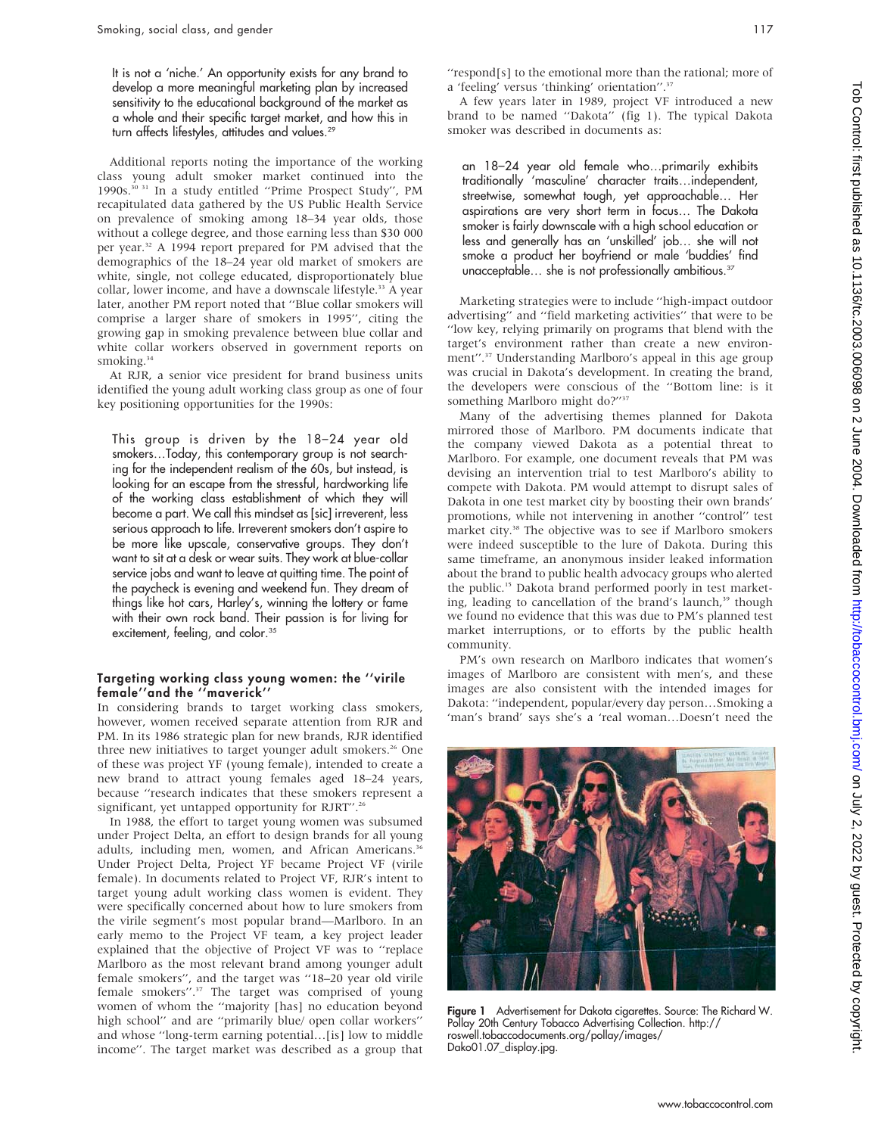It is not a 'niche.' An opportunity exists for any brand to develop a more meaningful marketing plan by increased sensitivity to the educational background of the market as a whole and their specific target market, and how this in turn affects lifestyles, attitudes and values.29

Additional reports noting the importance of the working class young adult smoker market continued into the 1990s.30 31 In a study entitled ''Prime Prospect Study'', PM recapitulated data gathered by the US Public Health Service on prevalence of smoking among 18–34 year olds, those without a college degree, and those earning less than \$30 000 per year.32 A 1994 report prepared for PM advised that the demographics of the 18–24 year old market of smokers are white, single, not college educated, disproportionately blue collar, lower income, and have a downscale lifestyle.<sup>33</sup> A year later, another PM report noted that ''Blue collar smokers will comprise a larger share of smokers in 1995'', citing the growing gap in smoking prevalence between blue collar and white collar workers observed in government reports on smoking.<sup>34</sup>

At RJR, a senior vice president for brand business units identified the young adult working class group as one of four key positioning opportunities for the 1990s:

This group is driven by the 18–24 year old smokers…Today, this contemporary group is not searching for the independent realism of the 60s, but instead, is looking for an escape from the stressful, hardworking life of the working class establishment of which they will become a part. We call this mindset as [sic] irreverent, less serious approach to life. Irreverent smokers don't aspire to be more like upscale, conservative groups. They don't want to sit at a desk or wear suits. They work at blue-collar service jobs and want to leave at quitting time. The point of the paycheck is evening and weekend fun. They dream of things like hot cars, Harley's, winning the lottery or fame with their own rock band. Their passion is for living for excitement, feeling, and color.<sup>35</sup>

#### Targeting working class young women: the ''virile female''and the ''maverick''

In considering brands to target working class smokers, however, women received separate attention from RJR and PM. In its 1986 strategic plan for new brands, RJR identified three new initiatives to target younger adult smokers.<sup>26</sup> One of these was project YF (young female), intended to create a new brand to attract young females aged 18–24 years, because ''research indicates that these smokers represent a significant, yet untapped opportunity for RJRT".<sup>2</sup>

In 1988, the effort to target young women was subsumed under Project Delta, an effort to design brands for all young adults, including men, women, and African Americans.<sup>36</sup> Under Project Delta, Project YF became Project VF (virile female). In documents related to Project VF, RJR's intent to target young adult working class women is evident. They were specifically concerned about how to lure smokers from the virile segment's most popular brand—Marlboro. In an early memo to the Project VF team, a key project leader explained that the objective of Project VF was to ''replace Marlboro as the most relevant brand among younger adult female smokers'', and the target was ''18–20 year old virile female smokers''.37 The target was comprised of young women of whom the ''majority [has] no education beyond high school'' and are ''primarily blue/ open collar workers'' and whose ''long-term earning potential…[is] low to middle income''. The target market was described as a group that ''respond[s] to the emotional more than the rational; more of a 'feeling' versus 'thinking' orientation''.37

A few years later in 1989, project VF introduced a new brand to be named ''Dakota'' (fig 1). The typical Dakota smoker was described in documents as:

an 18–24 year old female who…primarily exhibits traditionally 'masculine' character traits…independent, streetwise, somewhat tough, yet approachable… Her aspirations are very short term in focus… The Dakota smoker is fairly downscale with a high school education or less and generally has an 'unskilled' job… she will not smoke a product her boyfriend or male 'buddies' find unacceptable... she is not professionally ambitious.<sup>37</sup>

Marketing strategies were to include ''high-impact outdoor advertising'' and ''field marketing activities'' that were to be ''low key, relying primarily on programs that blend with the target's environment rather than create a new environment".<sup>37</sup> Understanding Marlboro's appeal in this age group was crucial in Dakota's development. In creating the brand, the developers were conscious of the ''Bottom line: is it something Marlboro might do?"<sup>37</sup>

Many of the advertising themes planned for Dakota mirrored those of Marlboro. PM documents indicate that the company viewed Dakota as a potential threat to Marlboro. For example, one document reveals that PM was devising an intervention trial to test Marlboro's ability to compete with Dakota. PM would attempt to disrupt sales of Dakota in one test market city by boosting their own brands' promotions, while not intervening in another ''control'' test market city.<sup>38</sup> The objective was to see if Marlboro smokers were indeed susceptible to the lure of Dakota. During this same timeframe, an anonymous insider leaked information about the brand to public health advocacy groups who alerted the public.15 Dakota brand performed poorly in test marketing, leading to cancellation of the brand's launch,<sup>39</sup> though we found no evidence that this was due to PM's planned test market interruptions, or to efforts by the public health community.

PM's own research on Marlboro indicates that women's images of Marlboro are consistent with men's, and these images are also consistent with the intended images for Dakota: ''independent, popular/every day person…Smoking a 'man's brand' says she's a 'real woman…Doesn't need the



Figure 1 Advertisement for Dakota cigarettes. Source: The Richard W. Pollay 20th Century Tobacco Advertising Collection. http:// roswell.tobaccodocuments.org/pollay/images/ Dako01.07\_display.jpg.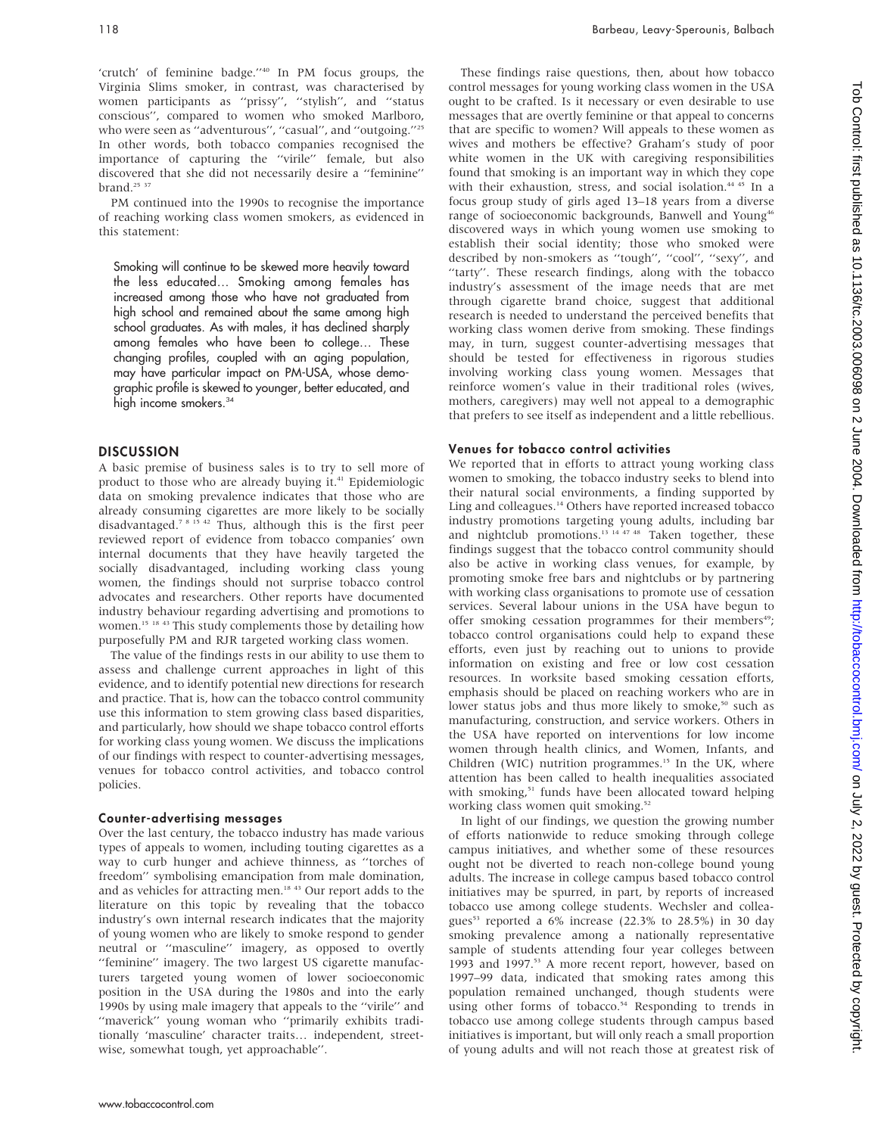'crutch' of feminine badge.''40 In PM focus groups, the Virginia Slims smoker, in contrast, was characterised by women participants as ''prissy'', ''stylish'', and ''status conscious'', compared to women who smoked Marlboro, who were seen as ''adventurous'', ''casual'', and ''outgoing.''25 In other words, both tobacco companies recognised the importance of capturing the ''virile'' female, but also discovered that she did not necessarily desire a ''feminine'' brand.<sup>25 37</sup>

PM continued into the 1990s to recognise the importance of reaching working class women smokers, as evidenced in this statement:

Smoking will continue to be skewed more heavily toward the less educated… Smoking among females has increased among those who have not graduated from high school and remained about the same among high school graduates. As with males, it has declined sharply among females who have been to college… These changing profiles, coupled with an aging population, may have particular impact on PM-USA, whose demographic profile is skewed to younger, better educated, and high income smokers.<sup>34</sup>

#### **DISCUSSION**

A basic premise of business sales is to try to sell more of product to those who are already buying it.<sup>41</sup> Epidemiologic data on smoking prevalence indicates that those who are already consuming cigarettes are more likely to be socially disadvantaged.7 8 15 42 Thus, although this is the first peer reviewed report of evidence from tobacco companies' own internal documents that they have heavily targeted the socially disadvantaged, including working class young women, the findings should not surprise tobacco control advocates and researchers. Other reports have documented industry behaviour regarding advertising and promotions to women.15 18 43 This study complements those by detailing how purposefully PM and RJR targeted working class women.

The value of the findings rests in our ability to use them to assess and challenge current approaches in light of this evidence, and to identify potential new directions for research and practice. That is, how can the tobacco control community use this information to stem growing class based disparities, and particularly, how should we shape tobacco control efforts for working class young women. We discuss the implications of our findings with respect to counter-advertising messages, venues for tobacco control activities, and tobacco control policies.

#### Counter-advertising messages

Over the last century, the tobacco industry has made various types of appeals to women, including touting cigarettes as a way to curb hunger and achieve thinness, as ''torches of freedom'' symbolising emancipation from male domination, and as vehicles for attracting men.<sup>18</sup> <sup>43</sup> Our report adds to the literature on this topic by revealing that the tobacco industry's own internal research indicates that the majority of young women who are likely to smoke respond to gender neutral or ''masculine'' imagery, as opposed to overtly ''feminine'' imagery. The two largest US cigarette manufacturers targeted young women of lower socioeconomic position in the USA during the 1980s and into the early 1990s by using male imagery that appeals to the ''virile'' and "maverick" young woman who "primarily exhibits traditionally 'masculine' character traits… independent, streetwise, somewhat tough, yet approachable''.

These findings raise questions, then, about how tobacco control messages for young working class women in the USA ought to be crafted. Is it necessary or even desirable to use messages that are overtly feminine or that appeal to concerns that are specific to women? Will appeals to these women as wives and mothers be effective? Graham's study of poor white women in the UK with caregiving responsibilities found that smoking is an important way in which they cope with their exhaustion, stress, and social isolation.<sup>44 45</sup> In a focus group study of girls aged 13–18 years from a diverse range of socioeconomic backgrounds, Banwell and Young<sup>46</sup> discovered ways in which young women use smoking to establish their social identity; those who smoked were described by non-smokers as ''tough'', ''cool'', ''sexy'', and ''tarty''. These research findings, along with the tobacco industry's assessment of the image needs that are met through cigarette brand choice, suggest that additional research is needed to understand the perceived benefits that working class women derive from smoking. These findings may, in turn, suggest counter-advertising messages that should be tested for effectiveness in rigorous studies involving working class young women. Messages that reinforce women's value in their traditional roles (wives, mothers, caregivers) may well not appeal to a demographic that prefers to see itself as independent and a little rebellious.

#### Venues for tobacco control activities

We reported that in efforts to attract young working class women to smoking, the tobacco industry seeks to blend into their natural social environments, a finding supported by Ling and colleagues.<sup>14</sup> Others have reported increased tobacco industry promotions targeting young adults, including bar and nightclub promotions.<sup>13 14 47 48</sup> Taken together, these findings suggest that the tobacco control community should also be active in working class venues, for example, by promoting smoke free bars and nightclubs or by partnering with working class organisations to promote use of cessation services. Several labour unions in the USA have begun to offer smoking cessation programmes for their members<sup>49</sup>; tobacco control organisations could help to expand these efforts, even just by reaching out to unions to provide information on existing and free or low cost cessation resources. In worksite based smoking cessation efforts, emphasis should be placed on reaching workers who are in lower status jobs and thus more likely to smoke,<sup>50</sup> such as manufacturing, construction, and service workers. Others in the USA have reported on interventions for low income women through health clinics, and Women, Infants, and Children (WIC) nutrition programmes.<sup>15</sup> In the UK, where attention has been called to health inequalities associated with smoking,<sup>51</sup> funds have been allocated toward helping working class women quit smoking.<sup>52</sup>

In light of our findings, we question the growing number of efforts nationwide to reduce smoking through college campus initiatives, and whether some of these resources ought not be diverted to reach non-college bound young adults. The increase in college campus based tobacco control initiatives may be spurred, in part, by reports of increased tobacco use among college students. Wechsler and colleagues<sup>53</sup> reported a 6% increase (22.3% to 28.5%) in 30 day smoking prevalence among a nationally representative sample of students attending four year colleges between 1993 and 1997.<sup>53</sup> A more recent report, however, based on 1997–99 data, indicated that smoking rates among this population remained unchanged, though students were using other forms of tobacco.<sup>54</sup> Responding to trends in tobacco use among college students through campus based initiatives is important, but will only reach a small proportion of young adults and will not reach those at greatest risk of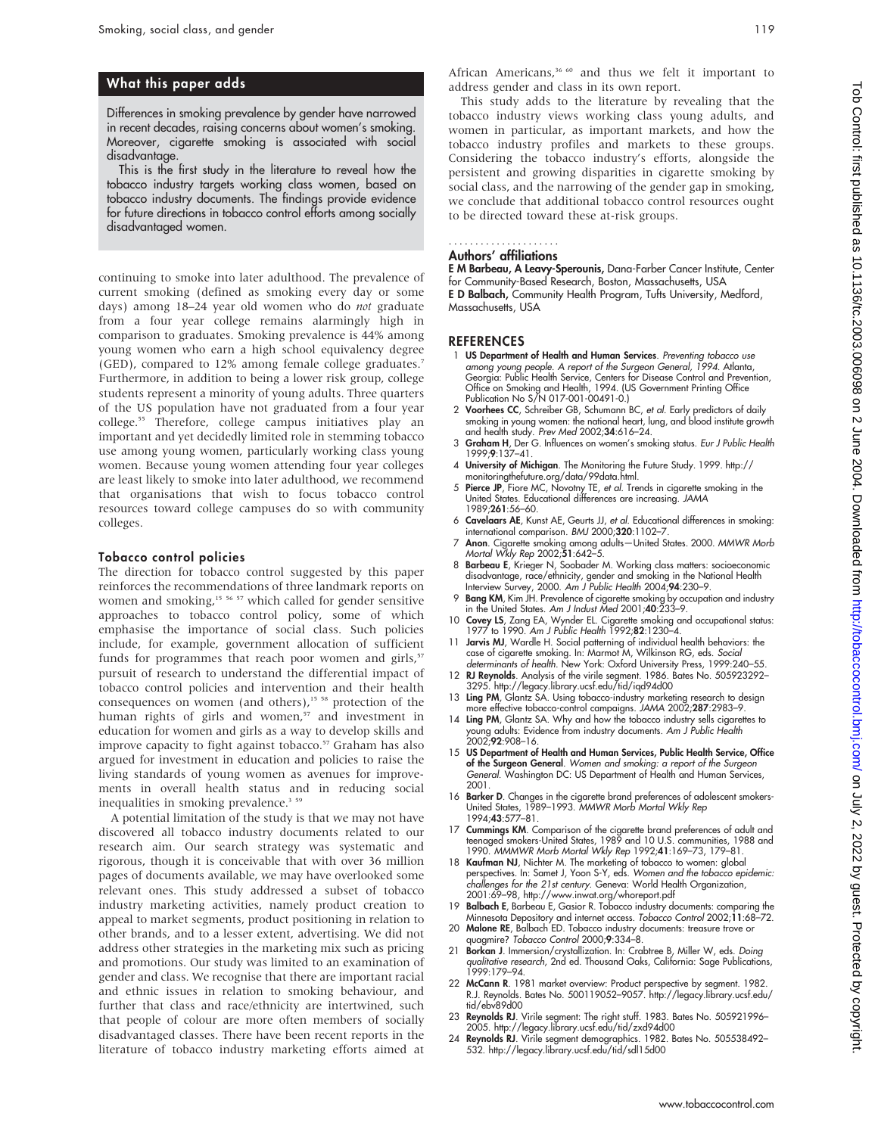#### What this paper adds

Differences in smoking prevalence by gender have narrowed in recent decades, raising concerns about women's smoking. Moreover, cigarette smoking is associated with social disadvantage.

This is the first study in the literature to reveal how the tobacco industry targets working class women, based on tobacco industry documents. The findings provide evidence for future directions in tobacco control efforts among socially disadvantaged women.

continuing to smoke into later adulthood. The prevalence of current smoking (defined as smoking every day or some days) among 18–24 year old women who do not graduate from a four year college remains alarmingly high in comparison to graduates. Smoking prevalence is 44% among young women who earn a high school equivalency degree (GED), compared to 12% among female college graduates.<sup>7</sup> Furthermore, in addition to being a lower risk group, college students represent a minority of young adults. Three quarters of the US population have not graduated from a four year college.55 Therefore, college campus initiatives play an important and yet decidedly limited role in stemming tobacco use among young women, particularly working class young women. Because young women attending four year colleges are least likely to smoke into later adulthood, we recommend that organisations that wish to focus tobacco control resources toward college campuses do so with community colleges.

#### Tobacco control policies

The direction for tobacco control suggested by this paper reinforces the recommendations of three landmark reports on women and smoking,<sup>15 56 57</sup> which called for gender sensitive approaches to tobacco control policy, some of which emphasise the importance of social class. Such policies include, for example, government allocation of sufficient funds for programmes that reach poor women and girls, $57$ pursuit of research to understand the differential impact of tobacco control policies and intervention and their health consequences on women (and others), $15$ <sup>58</sup> protection of the human rights of girls and women,<sup>57</sup> and investment in education for women and girls as a way to develop skills and improve capacity to fight against tobacco.<sup>57</sup> Graham has also argued for investment in education and policies to raise the living standards of young women as avenues for improvements in overall health status and in reducing social inequalities in smoking prevalence.<sup>3 59</sup>

A potential limitation of the study is that we may not have discovered all tobacco industry documents related to our research aim. Our search strategy was systematic and rigorous, though it is conceivable that with over 36 million pages of documents available, we may have overlooked some relevant ones. This study addressed a subset of tobacco industry marketing activities, namely product creation to appeal to market segments, product positioning in relation to other brands, and to a lesser extent, advertising. We did not address other strategies in the marketing mix such as pricing and promotions. Our study was limited to an examination of gender and class. We recognise that there are important racial and ethnic issues in relation to smoking behaviour, and further that class and race/ethnicity are intertwined, such that people of colour are more often members of socially disadvantaged classes. There have been recent reports in the literature of tobacco industry marketing efforts aimed at African Americans,<sup>36 60</sup> and thus we felt it important to address gender and class in its own report.

This study adds to the literature by revealing that the tobacco industry views working class young adults, and women in particular, as important markets, and how the tobacco industry profiles and markets to these groups. Considering the tobacco industry's efforts, alongside the persistent and growing disparities in cigarette smoking by social class, and the narrowing of the gender gap in smoking, we conclude that additional tobacco control resources ought to be directed toward these at-risk groups.

#### Authors' affiliations .....................

E M Barbeau, A Leavy-Sperounis, Dana-Farber Cancer Institute, Center for Community-Based Research, Boston, Massachusetts, USA E D Balbach, Community Health Program, Tufts University, Medford, Massachusetts, USA

#### REFERENCES

- 1 US Department of Health and Human Services. Preventing tobacco use among young people. A report of the Surgeon General, 1994. Atlanta, Georgia: Public Health Service, Centers for Disease Control and Prevention, Office on Smoking and Health, 1994. (US Government Printing Office Publication No S/N 017-001-00491-0.)
- 2 Voorhees CC, Schreiber GB, Schumann BC, et al. Early predictors of daily smoking in young women: the national heart, lung, and blood institute growth and health study. Prev Med 2002;34:616–24.
- 3 Graham H, Der G. Influences on women's smoking status. Eur J Public Health 1999;9:137–41.
- 4 University of Michigan. The Monitoring the Future Study. 1999. http:// monitoringthefuture.org/data/99data.html.
- 5 Pierce JP, Fiore MC, Novotny TE, *et al.* Trends in cigarette smoking in the<br>United States. Educational differences are increasing. JAMA 1989;261:56–60.
- 6 Cavelaars AE, Kunst AE, Geurts JJ, et al. Educational differences in smoking: international comparison. BMJ 2000;320:1102–7.
- 7 Anon. Cigarette smoking among adults—United States. 2000. MMWR Morb Mortal Wkly Rep 2002;51:642–5.
- 8 Barbeau E, Krieger N, Soobader M. Working class matters: socioeconomic disadvantage, race/ethnicity, gender and smoking in the National Health Interview Survey, 2000. Am J Public Health 2004;94:230–9.
- 9 Bang KM, Kim JH. Prevalence of cigarette smoking by occupation and industry in the United States. Am J Indust Med 2001;40:233–9.
- 10 Covey LS, Zang EA, Wynder EL. Cigarette smoking and occupational status: 1977 to 1990. Am J Public Health 1992;82:1230–4.
- 11 Jarvis MJ, Wardle H. Social patterning of individual health behaviors: the case of cigarette smoking. In: Marmot M, Wilkinson RG, eds. *Social*<br>*determinants of health.* New York: Oxford University Press, 1999:240–55.
- 
- 12 **RJ Reynolds**. Analysis of the virile segment. 1986. Bates No. 505923292–<br>3295. http://legacy.library.ucsf.edu/tid/iqd94d00<br>13 Lin**g P**M, Glantz SA. Using tobacco-industry marketing research to design<br>more effective tob
- 14 Ling PM, Glantz SA. Why and how the tobacco industry sells cigarettes to young adults: Evidence from industry documents. Am J Public Health 2002;92:908–16.
- 15 US Department of Health and Human Services, Public Health Service, Office of the Surgeon General. Women and smoking: a report of the Surgeon General. Washington DC: US Department of Health and Human Services, 2001.
- 16 Barker D. Changes in the cigarette brand preferences of adolescent smokers-United States, 1989–1993. *MMWR Morb Mortal Wkly Rep*<br>1994;**43**:577–81.
- 17 Cummings KM. Comparison of the cigarette brand preferences of adult and teenaged smokers-United States, 1989 and 10 U.S. communities, 1988 and 1990. MMMWR Morb Mortal Wkly Rep 1992;41:169–73, 179–81.
- 18 Kaufman NJ, Nichter M. The marketing of tobacco to women: global perspectives. In: Samet J, Yoon S-Y, eds. Women and the tobacco epidemic: challenges for the 21st century. Geneva: World Health Organization, 2001:69–98, http://www.inwat.org/whoreport.pdf
- 19 Balbach E, Barbeau E, Gasior R. Tobacco industry documents: comparing the Minnesota Depository and internet access. Tobacco Control 2002;11:68–72. 20 Malone RE, Balbach ED. Tobacco industry documents: treasure trove or
- quagmire? Tobacco Control 2000;9:334–8.
- 21 Borkan J. Immersion/crystallization. In: Crabtree B, Miller W, eds. Doing qualitative research, 2nd ed. Thousand Oaks, California: Sage Publications, 1999:179–94.
- 22 McCann R. 1981 market overview: Product perspective by segment. 1982. R.J. Reynolds. Bates No. 500119052–9057. http://legacy.library.ucsf.edu/ tid/ebv89d00
- 23 Reynolds RJ. Virile segment: The right stuff. 1983. Bates No. 505921996– 2005. http://legacy.library.ucsf.edu/tid/zxd94d00
- 24 Reynolds RJ. Virile segment demographics. 1982. Bates No. 505538492– 532. http://legacy.library.ucsf.edu/tid/sdl15d00